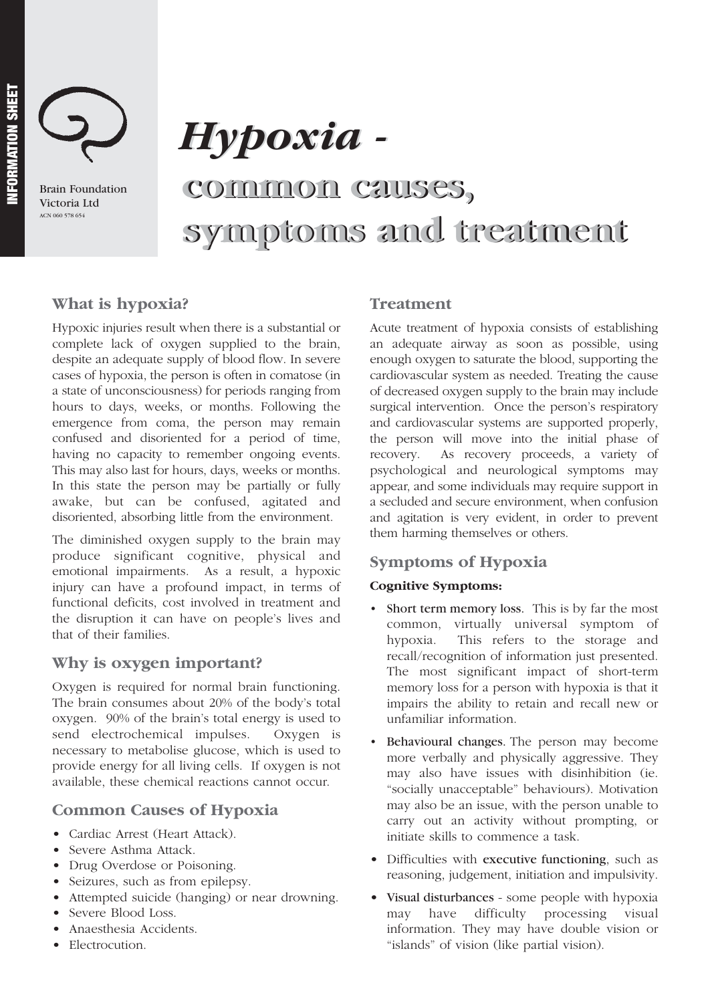

Brain Foundation Victoria Ltd ACN 060 578 654

# *Hypoxia - Hypoxia -*

# **common causes, common causes, symptoms and treatment symptoms and treatment**

# **What is hypoxia?**

Hypoxic injuries result when there is a substantial or complete lack of oxygen supplied to the brain, despite an adequate supply of blood flow. In severe cases of hypoxia, the person is often in comatose (in a state of unconsciousness) for periods ranging from hours to days, weeks, or months. Following the emergence from coma, the person may remain confused and disoriented for a period of time, having no capacity to remember ongoing events. This may also last for hours, days, weeks or months. In this state the person may be partially or fully awake, but can be confused, agitated and disoriented, absorbing little from the environment.

The diminished oxygen supply to the brain may produce significant cognitive, physical and emotional impairments. As a result, a hypoxic injury can have a profound impact, in terms of functional deficits, cost involved in treatment and the disruption it can have on people's lives and that of their families.

# **Why is oxygen important?**

Oxygen is required for normal brain functioning. The brain consumes about 20% of the body's total oxygen. 90% of the brain's total energy is used to send electrochemical impulses. Oxygen is necessary to metabolise glucose, which is used to provide energy for all living cells. If oxygen is not available, these chemical reactions cannot occur.

# **Common Causes of Hypoxia**

- Cardiac Arrest (Heart Attack).
- Severe Asthma Attack.
- Drug Overdose or Poisoning.
- Seizures, such as from epilepsy.
- Attempted suicide (hanging) or near drowning.
- Severe Blood Loss.
- Anaesthesia Accidents.
- Electrocution.

# **Treatment**

Acute treatment of hypoxia consists of establishing an adequate airway as soon as possible, using enough oxygen to saturate the blood, supporting the cardiovascular system as needed. Treating the cause of decreased oxygen supply to the brain may include surgical intervention. Once the person's respiratory and cardiovascular systems are supported properly, the person will move into the initial phase of recovery. As recovery proceeds, a variety of psychological and neurological symptoms may appear, and some individuals may require support in a secluded and secure environment, when confusion and agitation is very evident, in order to prevent them harming themselves or others.

# **Symptoms of Hypoxia**

#### **Cognitive Symptoms:**

- Short term memory loss. This is by far the most common, virtually universal symptom of hypoxia. This refers to the storage and recall/recognition of information just presented. The most significant impact of short-term memory loss for a person with hypoxia is that it impairs the ability to retain and recall new or unfamiliar information.
- Behavioural changes. The person may become more verbally and physically aggressive. They may also have issues with disinhibition (ie. "socially unacceptable" behaviours). Motivation may also be an issue, with the person unable to carry out an activity without prompting, or initiate skills to commence a task.
- Difficulties with executive functioning, such as reasoning, judgement, initiation and impulsivity.
- Visual disturbances some people with hypoxia may have difficulty processing visual information. They may have double vision or "islands" of vision (like partial vision).